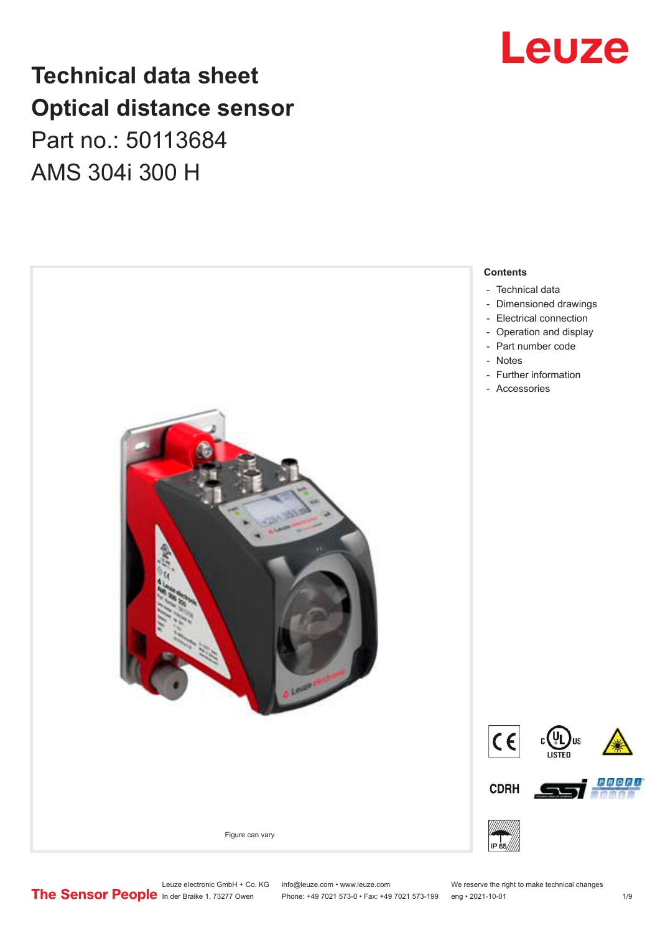# **Technical data sheet Optical distance sensor** Part no.: 50113684 AMS 304i 300 H



# Leuze

Leuze electronic GmbH + Co. KG info@leuze.com • www.leuze.com We reserve the right to make technical changes<br>
The Sensor People in der Braike 1, 73277 Owen Phone: +49 7021 573-0 • Fax: +49 7021 573-199 eng • 2021-10-01

Phone: +49 7021 573-0 • Fax: +49 7021 573-199 eng • 2021-10-01 1 2021-10-01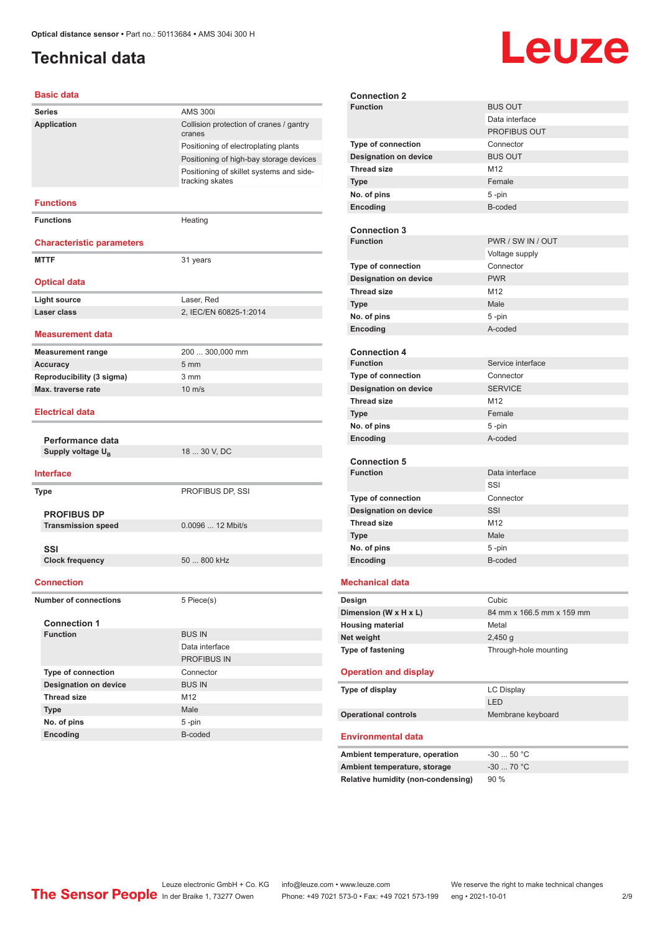# <span id="page-1-0"></span>**Technical data**

# Leuze

#### **Basic data**

| <b>Series</b>                                     | <b>AMS 300i</b>                                             |
|---------------------------------------------------|-------------------------------------------------------------|
| Application                                       | Collision protection of cranes / gantry<br>cranes           |
|                                                   | Positioning of electroplating plants                        |
|                                                   | Positioning of high-bay storage devices                     |
|                                                   | Positioning of skillet systems and side-<br>tracking skates |
| <b>Functions</b>                                  |                                                             |
| <b>Functions</b>                                  | Heating                                                     |
| <b>Characteristic parameters</b>                  |                                                             |
| <b>MTTF</b>                                       | 31 years                                                    |
| <b>Optical data</b>                               |                                                             |
| <b>Light source</b>                               | Laser, Red                                                  |
| Laser class                                       | 2, IEC/EN 60825-1:2014                                      |
| <b>Measurement data</b>                           |                                                             |
| <b>Measurement range</b>                          | 200  300,000 mm                                             |
| <b>Accuracy</b>                                   | $5 \, \text{mm}$                                            |
| Reproducibility (3 sigma)                         | 3 <sub>mm</sub>                                             |
| Max. traverse rate                                | $10 \text{ m/s}$                                            |
| Electrical data                                   |                                                             |
| Performance data                                  |                                                             |
| Supply voltage U <sub>B</sub>                     | 18  30 V, DC                                                |
| <b>Interface</b>                                  |                                                             |
| <b>Type</b>                                       | PROFIBUS DP, SSI                                            |
| <b>PROFIBUS DP</b>                                |                                                             |
| <b>Transmission speed</b>                         | 0.0096  12 Mbit/s                                           |
|                                                   |                                                             |
| SSI<br><b>Clock frequency</b>                     | 50  800 kHz                                                 |
|                                                   |                                                             |
| <b>Connection</b><br><b>Number of connections</b> | 5 Piece(s)                                                  |
|                                                   |                                                             |
| <b>Connection 1</b>                               |                                                             |
| <b>Function</b>                                   | <b>BUS IN</b><br>Data interface                             |
|                                                   | PROFIBUS IN                                                 |
| <b>Type of connection</b>                         | Connector                                                   |
| <b>Designation on device</b>                      | <b>BUS IN</b>                                               |
| <b>Thread size</b>                                | M12                                                         |
| <b>Type</b>                                       | Male                                                        |
| No. of pins                                       | 5-pin                                                       |
| Encoding                                          | B-coded                                                     |
|                                                   |                                                             |

| <b>Connection 2</b>                       |                           |
|-------------------------------------------|---------------------------|
| <b>Function</b>                           | <b>BUS OUT</b>            |
|                                           | Data interface            |
|                                           | <b>PROFIBUS OUT</b>       |
| <b>Type of connection</b>                 | Connector                 |
| <b>Designation on device</b>              | <b>BUS OUT</b>            |
| <b>Thread size</b>                        | M12                       |
| <b>Type</b>                               | Female                    |
| No. of pins                               | 5-pin                     |
| Encoding                                  | B-coded                   |
|                                           |                           |
| <b>Connection 3</b>                       |                           |
| <b>Function</b>                           | PWR / SW IN / OUT         |
|                                           | Voltage supply            |
| <b>Type of connection</b>                 | Connector                 |
| <b>Designation on device</b>              | <b>PWR</b>                |
| <b>Thread size</b>                        | M12                       |
| <b>Type</b>                               | Male                      |
| No. of pins                               | 5-pin                     |
| Encoding                                  | A-coded                   |
|                                           |                           |
| <b>Connection 4</b>                       |                           |
| <b>Function</b>                           | Service interface         |
| <b>Type of connection</b>                 | Connector                 |
| <b>Designation on device</b>              | <b>SERVICE</b>            |
| <b>Thread size</b>                        | M <sub>12</sub>           |
| <b>Type</b>                               | Female                    |
| No. of pins                               | 5-pin                     |
| Encoding                                  | A-coded                   |
|                                           |                           |
| <b>Connection 5</b>                       |                           |
| <b>Function</b>                           | Data interface            |
|                                           | SSI                       |
| <b>Type of connection</b>                 | Connector                 |
| Designation on device                     | SSI                       |
| <b>Thread size</b>                        | M <sub>12</sub>           |
| <b>Type</b>                               | Male                      |
| No. of pins                               | 5-pin                     |
| Encoding                                  | B-coded                   |
| <b>Mechanical data</b>                    |                           |
|                                           |                           |
| Design                                    | Cubic                     |
| Dimension (W x H x L)                     | 84 mm x 166.5 mm x 159 mm |
| <b>Housing material</b>                   | Metal                     |
| Net weight                                | 2,450q                    |
| Type of fastening                         | Through-hole mounting     |
| <b>Operation and display</b>              |                           |
|                                           |                           |
| Type of display                           | <b>LC Display</b><br>LED  |
|                                           |                           |
| <b>Operational controls</b>               | Membrane keyboard         |
| <b>Environmental data</b>                 |                           |
|                                           | $-3050$ °C                |
| Ambient temperature, operation            | $-30$ 70 °C               |
| Ambient temperature, storage              |                           |
| <b>Relative humidity (non-condensing)</b> | 90 %                      |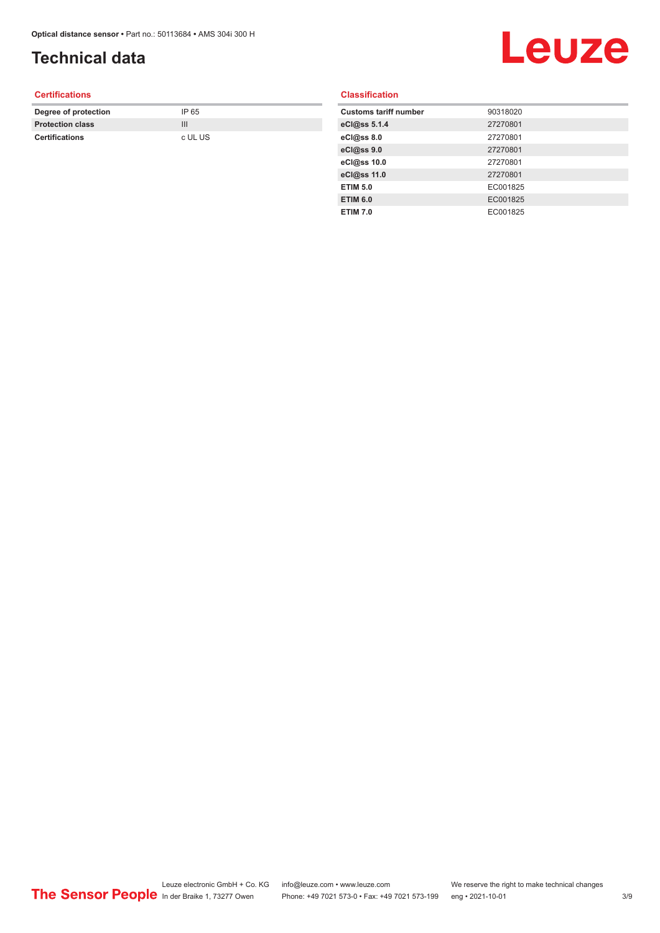# **Technical data**

# Leuze

#### **Certifications**

| Degree of protection    | IP 65   |
|-------------------------|---------|
| <b>Protection class</b> |         |
| <b>Certifications</b>   | c UL US |

#### **Classification**

| <b>Customs tariff number</b> | 90318020 |
|------------------------------|----------|
| eCl@ss 5.1.4                 | 27270801 |
| eCl@ss 8.0                   | 27270801 |
| eCl@ss 9.0                   | 27270801 |
| eCl@ss 10.0                  | 27270801 |
| eCl@ss 11.0                  | 27270801 |
| <b>ETIM 5.0</b>              | EC001825 |
| <b>ETIM 6.0</b>              | EC001825 |
| <b>ETIM 7.0</b>              | EC001825 |

Leuze electronic GmbH + Co. KG info@leuze.com • www.leuze.com We reserve the right to make technical changes In der Braike 1, 73277 Owen Phone: +49 7021 573-0 • Fax: +49 7021 573-199 eng • 2021-10-01 3 /9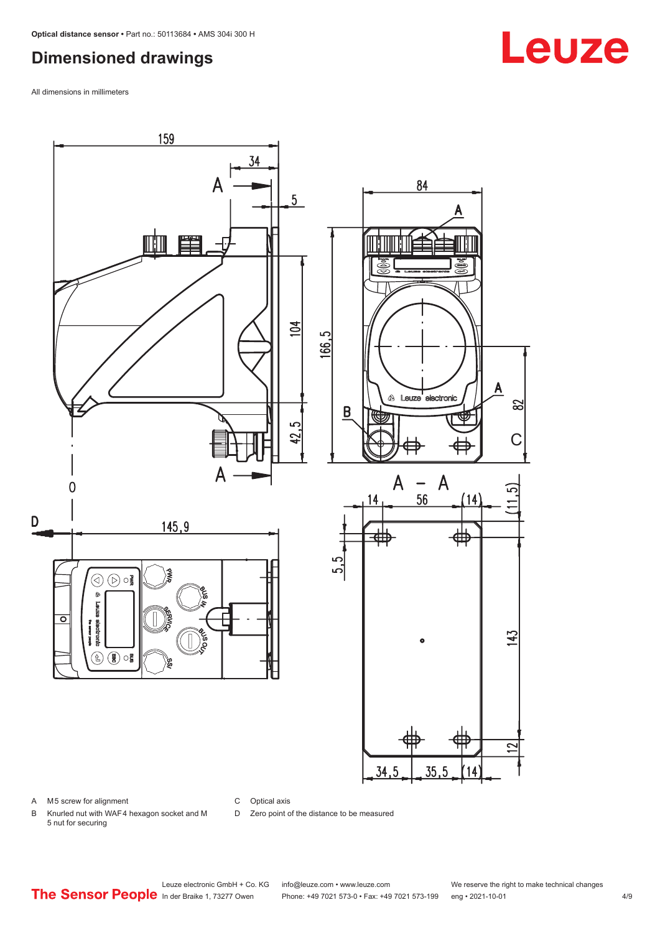## <span id="page-3-0"></span>**Dimensioned drawings**

All dimensions in millimeters



A M5 screw for alignment

C Optical axis

D Zero point of the distance to be measured

B Knurled nut with WAF 4 hexagon socket and M 5 nut for securing

Leuze electronic GmbH + Co. KG info@leuze.com • www.leuze.com We reserve the right to make technical changes<br>
The Sensor People in der Braike 1, 73277 Owen Phone: +49 7021 573-0 • Fax: +49 7021 573-199 eng • 2021-10-01 Phone: +49 7021 573-0 • Fax: +49 7021 573-199 eng • 2021-10-01 4/9

# **Leuze**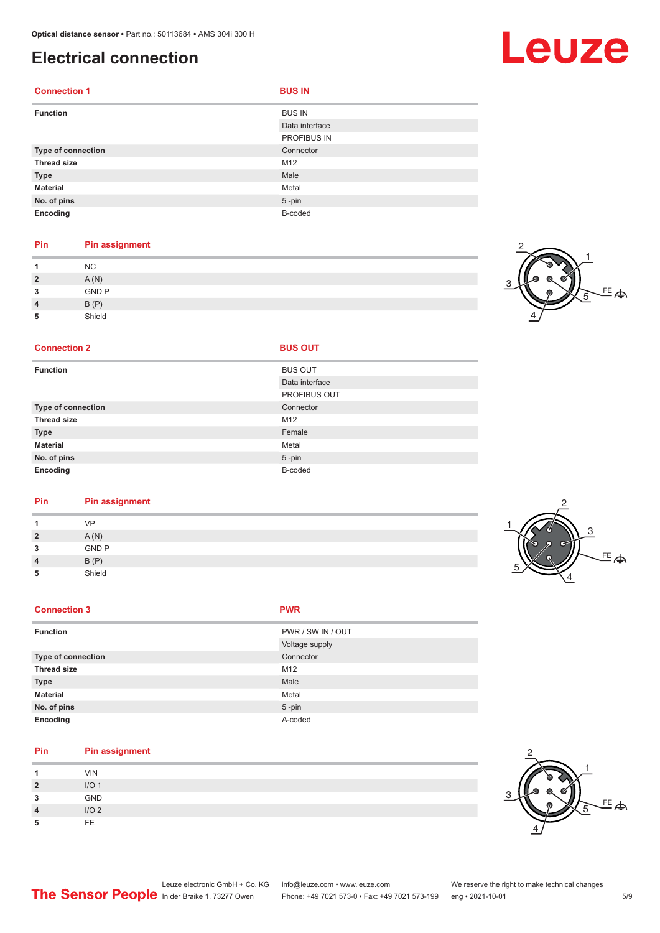# <span id="page-4-0"></span>**Electrical connection**

| <b>Connection 1</b>       | <b>BUS IN</b>  |
|---------------------------|----------------|
| <b>Function</b>           | <b>BUS IN</b>  |
|                           | Data interface |
|                           | PROFIBUS IN    |
| <b>Type of connection</b> | Connector      |
| <b>Thread size</b>        | M12            |
| <b>Type</b>               | Male           |
| <b>Material</b>           | Metal          |
| No. of pins               | $5$ -pin       |
| Encoding                  | B-coded        |

#### **Pin Pin assignment**

|          | <b>NC</b>    |  |  |  |
|----------|--------------|--|--|--|
| <u>?</u> | A(N)         |  |  |  |
| ໍາ<br>u  | <b>GND P</b> |  |  |  |
|          | B(P)         |  |  |  |
| 5        | Shield       |  |  |  |

#### **Connection 2**

| <b>Function</b>    | <b>BUS OUT</b>      |
|--------------------|---------------------|
|                    | Data interface      |
|                    | <b>PROFIBUS OUT</b> |
| Type of connection | Connector           |
| <b>Thread size</b> | M12                 |
| <b>Type</b>        | Female              |
| <b>Material</b>    | Metal               |
| No. of pins        | $5 - pin$           |
| Encoding           | B-coded             |
|                    |                     |

#### **Pin Pin assignment**

|                | V <sub>D</sub> |  |
|----------------|----------------|--|
| $\overline{2}$ | A(N)           |  |
| 3              | <b>GND P</b>   |  |
| 4              | B(P)           |  |
| 5              | Shield         |  |

#### **Connection 3 PWR**

| ٠ |  |  |
|---|--|--|

| <b>Function</b>    | PWR / SW IN / OUT |
|--------------------|-------------------|
|                    | Voltage supply    |
| Type of connection | Connector         |
| <b>Thread size</b> | M12               |
| <b>Type</b>        | Male              |
| <b>Material</b>    | Metal             |
| No. of pins        | $5 - pin$         |
| Encoding           | A-coded           |

#### **Pin Pin assignment**

|          | <b>VIN</b>       |
|----------|------------------|
| <u>?</u> | I/O <sub>1</sub> |
| 3        | GND              |
| л        | I/O <sub>2</sub> |
|          | FE               |



# Leuze

<sub>또</sub>

1

5

2

4



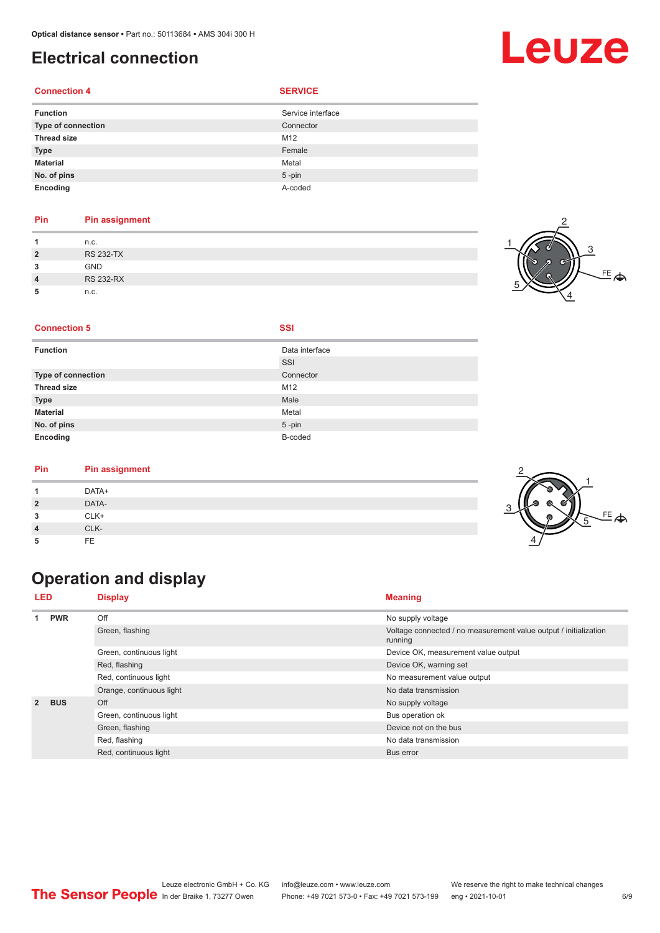# <span id="page-5-0"></span>**Electrical connection**

#### **Connection 4 SERVICE**

| <b>Function</b>    | Service interface |
|--------------------|-------------------|
| Type of connection | Connector         |
| <b>Thread size</b> | M12               |
| <b>Type</b>        | Female            |
| <b>Material</b>    | Metal             |
| No. of pins        | $5$ -pin          |
| Encoding           | A-coded           |

#### **Pin Pin assignment**

|                | n.c.             | 71 |
|----------------|------------------|----|
| $\overline{2}$ | <b>RS 232-TX</b> |    |
| 2<br>w         | <b>GND</b>       |    |
| $\overline{4}$ | <b>RS 232-RX</b> |    |
| 5              | n.c.             |    |



#### **Connection 5 SSI**

| <b>Function</b>    | Data interface |
|--------------------|----------------|
|                    | SSI            |
| Type of connection | Connector      |
| <b>Thread size</b> | M12            |
| <b>Type</b>        | Male           |
| <b>Material</b>    | Metal          |
| No. of pins        | $5 - pin$      |
| Encoding           | B-coded        |

#### **Pin Pin assignment**

| Pin            | Pin assignment |         |
|----------------|----------------|---------|
|                | DATA+          |         |
| $\overline{2}$ | DATA-          |         |
| 3              | CLK+           | EF<br>G |
|                | CLK-           |         |
| 5              | FE             |         |

# **Operation and display**

| <b>LED</b>     | <b>Display</b>        |                             | <b>Meaning</b>                                                              |
|----------------|-----------------------|-----------------------------|-----------------------------------------------------------------------------|
| 1              | <b>PWR</b>            | Off                         | No supply voltage                                                           |
|                |                       | Green, flashing             | Voltage connected / no measurement value output / initialization<br>running |
|                |                       | Green, continuous light     | Device OK, measurement value output                                         |
|                |                       | Red, flashing               | Device OK, warning set                                                      |
|                | Red, continuous light | No measurement value output |                                                                             |
|                |                       | Orange, continuous light    | No data transmission                                                        |
| $\overline{2}$ | <b>BUS</b>            | Off                         | No supply voltage                                                           |
|                |                       | Green, continuous light     | Bus operation ok                                                            |
|                | Green, flashing       | Device not on the bus       |                                                                             |
|                |                       | Red, flashing               | No data transmission                                                        |
|                |                       | Red, continuous light       | Bus error                                                                   |

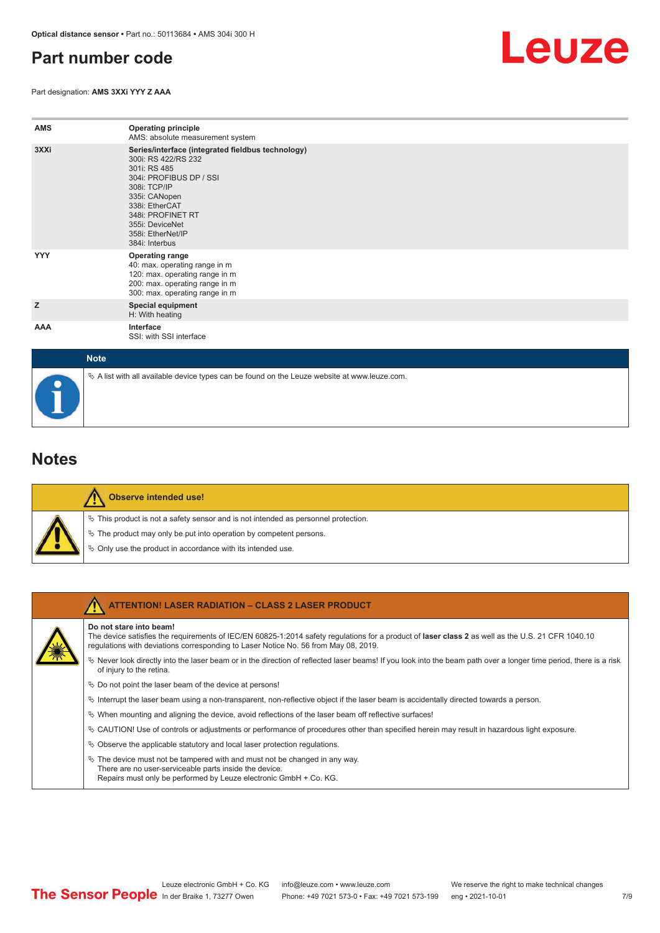## <span id="page-6-0"></span>**Part number code**

Part designation: **AMS 3XXi YYY Z AAA**



| <b>AMS</b>  | <b>Operating principle</b><br>AMS: absolute measurement system                                                                                                                                                                                        |
|-------------|-------------------------------------------------------------------------------------------------------------------------------------------------------------------------------------------------------------------------------------------------------|
| 3XXi        | Series/interface (integrated fieldbus technology)<br>300i: RS 422/RS 232<br>301i: RS 485<br>304i: PROFIBUS DP / SSI<br>308i: TCP/IP<br>335i: CANopen<br>338i: EtherCAT<br>348i: PROFINET RT<br>355i: DeviceNet<br>358i: EtherNet/IP<br>384i: Interbus |
| <b>YYY</b>  | <b>Operating range</b><br>40: max. operating range in m<br>120: max. operating range in m<br>200: max. operating range in m<br>300: max. operating range in m                                                                                         |
| z           | <b>Special equipment</b><br>H: With heating                                                                                                                                                                                                           |
| AAA         | Interface<br>SSI: with SSI interface                                                                                                                                                                                                                  |
| <b>Note</b> |                                                                                                                                                                                                                                                       |

# $\%$  A list with all available device types can be found on the Leuze website at www.leuze.com.

## **Notes**

| ¢,      |
|---------|
| Ą,      |
| м.<br>۲ |

#### **Observe intended use!**

This product is not a safety sensor and is not intended as personnel protection.

- The product may only be put into operation by competent persons.
- Only use the product in accordance with its intended use.

| <b>ATTENTION! LASER RADIATION - CLASS 2 LASER PRODUCT</b>                                                                                                                                                                                                           |
|---------------------------------------------------------------------------------------------------------------------------------------------------------------------------------------------------------------------------------------------------------------------|
| Do not stare into beam!<br>The device satisfies the requirements of IEC/EN 60825-1:2014 safety requlations for a product of laser class 2 as well as the U.S. 21 CFR 1040.10<br>requlations with deviations corresponding to Laser Notice No. 56 from May 08, 2019. |
| Never look directly into the laser beam or in the direction of reflected laser beams! If you look into the beam path over a longer time period, there is a risk<br>of injury to the retina.                                                                         |
| $\&$ Do not point the laser beam of the device at persons!                                                                                                                                                                                                          |
| $\%$ Interrupt the laser beam using a non-transparent, non-reflective object if the laser beam is accidentally directed towards a person.                                                                                                                           |
| $\%$ When mounting and aligning the device, avoid reflections of the laser beam off reflective surfaces!                                                                                                                                                            |
| $\&$ CAUTION! Use of controls or adjustments or performance of procedures other than specified herein may result in hazardous light exposure.                                                                                                                       |
| $\%$ Observe the applicable statutory and local laser protection regulations.                                                                                                                                                                                       |
| $\%$ The device must not be tampered with and must not be changed in any way.<br>There are no user-serviceable parts inside the device.<br>Repairs must only be performed by Leuze electronic GmbH + Co. KG.                                                        |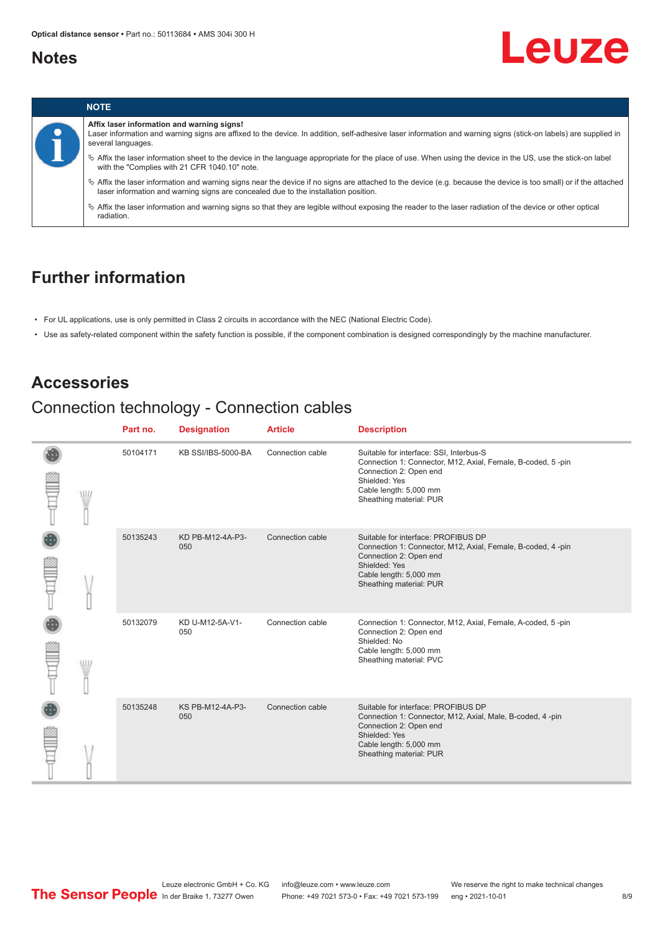### <span id="page-7-0"></span>**Notes**

# Leuze



## **Further information**

- For UL applications, use is only permitted in Class 2 circuits in accordance with the NEC (National Electric Code).
- Use as safety-related component within the safety function is possible, if the component combination is designed correspondingly by the machine manufacturer.

## **Accessories**

# Connection technology - Connection cables

|      | Part no. | <b>Designation</b>      | <b>Article</b>   | <b>Description</b>                                                                                                                                                                                     |
|------|----------|-------------------------|------------------|--------------------------------------------------------------------------------------------------------------------------------------------------------------------------------------------------------|
|      | 50104171 | KB SSI/IBS-5000-BA      | Connection cable | Suitable for interface: SSI, Interbus-S<br>Connection 1: Connector, M12, Axial, Female, B-coded, 5-pin<br>Connection 2: Open end<br>Shielded: Yes<br>Cable length: 5,000 mm<br>Sheathing material: PUR |
|      | 50135243 | KD PB-M12-4A-P3-<br>050 | Connection cable | Suitable for interface: PROFIBUS DP<br>Connection 1: Connector, M12, Axial, Female, B-coded, 4-pin<br>Connection 2: Open end<br>Shielded: Yes<br>Cable length: 5,000 mm<br>Sheathing material: PUR     |
| VU J | 50132079 | KD U-M12-5A-V1-<br>050  | Connection cable | Connection 1: Connector, M12, Axial, Female, A-coded, 5-pin<br>Connection 2: Open end<br>Shielded: No<br>Cable length: 5,000 mm<br>Sheathing material: PVC                                             |
|      | 50135248 | KS PB-M12-4A-P3-<br>050 | Connection cable | Suitable for interface: PROFIBUS DP<br>Connection 1: Connector, M12, Axial, Male, B-coded, 4-pin<br>Connection 2: Open end<br>Shielded: Yes<br>Cable length: 5,000 mm<br>Sheathing material: PUR       |